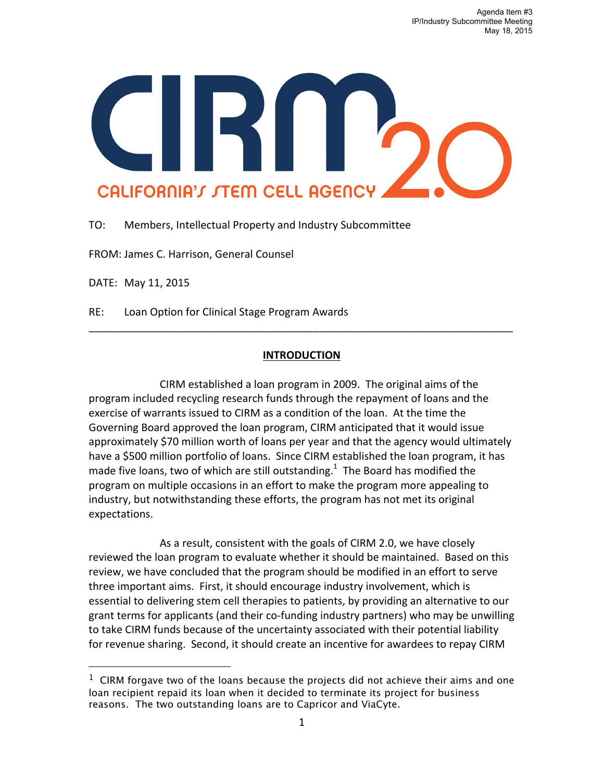

TO: Members, Intellectual Property and Industry Subcommittee

FROM: James C. Harrison, General Counsel

DATE: May 11, 2015

l

RE: Loan Option for Clinical Stage Program Awards

## **INTRODUCTION**

\_\_\_\_\_\_\_\_\_\_\_\_\_\_\_\_\_\_\_\_\_\_\_\_\_\_\_\_\_\_\_\_\_\_\_\_\_\_\_\_\_\_\_\_\_\_\_\_\_\_\_\_\_\_\_\_\_\_\_\_\_\_\_\_\_\_\_\_\_\_\_\_

CIRM established a loan program in 2009. The original aims of the program included recycling research funds through the repayment of loans and the exercise of warrants issued to CIRM as a condition of the loan. At the time the Governing Board approved the loan program, CIRM anticipated that it would issue approximately \$70 million worth of loans per year and that the agency would ultimately have a \$500 million portfolio of loans. Since CIRM established the loan program, it has made five loans, two of which are still outstanding.<sup>1</sup> The Board has modified the program on multiple occasions in an effort to make the program more appealing to industry, but notwithstanding these efforts, the program has not met its original expectations. 

As a result, consistent with the goals of CIRM 2.0, we have closely reviewed the loan program to evaluate whether it should be maintained. Based on this review, we have concluded that the program should be modified in an effort to serve three important aims. First, it should encourage industry involvement, which is essential to delivering stem cell therapies to patients, by providing an alternative to our grant terms for applicants (and their co-funding industry partners) who may be unwilling to take CIRM funds because of the uncertainty associated with their potential liability for revenue sharing. Second, it should create an incentive for awardees to repay CIRM

 $1$  CIRM forgave two of the loans because the projects did not achieve their aims and one loan recipient repaid its loan when it decided to terminate its project for business reasons. The two outstanding loans are to Capricor and ViaCyte.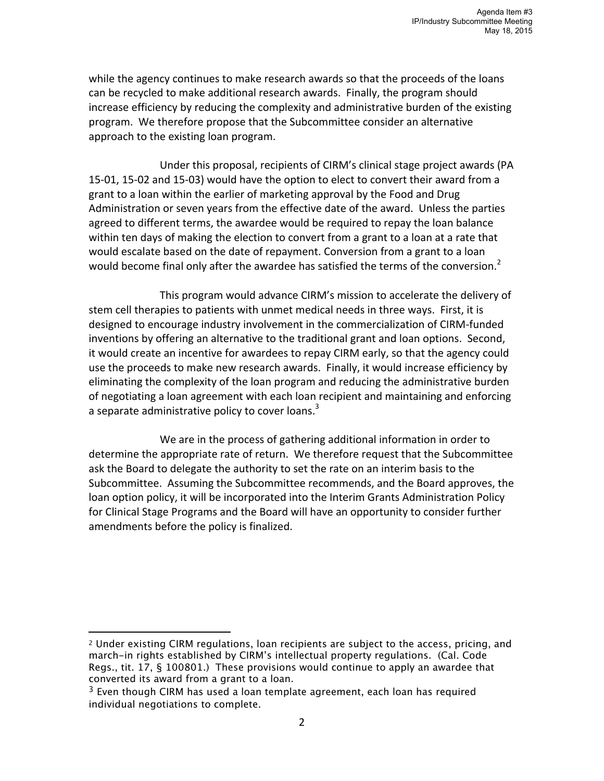while the agency continues to make research awards so that the proceeds of the loans can be recycled to make additional research awards. Finally, the program should increase efficiency by reducing the complexity and administrative burden of the existing program. We therefore propose that the Subcommittee consider an alternative approach to the existing loan program.

Under this proposal, recipients of CIRM's clinical stage project awards (PA 15-01, 15-02 and 15-03) would have the option to elect to convert their award from a grant to a loan within the earlier of marketing approval by the Food and Drug Administration or seven years from the effective date of the award. Unless the parties agreed to different terms, the awardee would be required to repay the loan balance within ten days of making the election to convert from a grant to a loan at a rate that would escalate based on the date of repayment. Conversion from a grant to a loan would become final only after the awardee has satisfied the terms of the conversion.<sup>2</sup>

This program would advance CIRM's mission to accelerate the delivery of stem cell therapies to patients with unmet medical needs in three ways. First, it is designed to encourage industry involvement in the commercialization of CIRM-funded inventions by offering an alternative to the traditional grant and loan options. Second, it would create an incentive for awardees to repay CIRM early, so that the agency could use the proceeds to make new research awards. Finally, it would increase efficiency by eliminating the complexity of the loan program and reducing the administrative burden of negotiating a loan agreement with each loan recipient and maintaining and enforcing a separate administrative policy to cover loans.<sup>3</sup>

We are in the process of gathering additional information in order to determine the appropriate rate of return. We therefore request that the Subcommittee ask the Board to delegate the authority to set the rate on an interim basis to the Subcommittee. Assuming the Subcommittee recommends, and the Board approves, the loan option policy, it will be incorporated into the Interim Grants Administration Policy for Clinical Stage Programs and the Board will have an opportunity to consider further amendments before the policy is finalized.

l

<sup>2</sup> Under existing CIRM regulations, loan recipients are subject to the access, pricing, and march-in rights established by CIRM's intellectual property regulations. (Cal. Code Regs., tit. 17, § 100801.) These provisions would continue to apply an awardee that converted its award from a grant to a loan.

 $3$  Even though CIRM has used a loan template agreement, each loan has required individual negotiations to complete.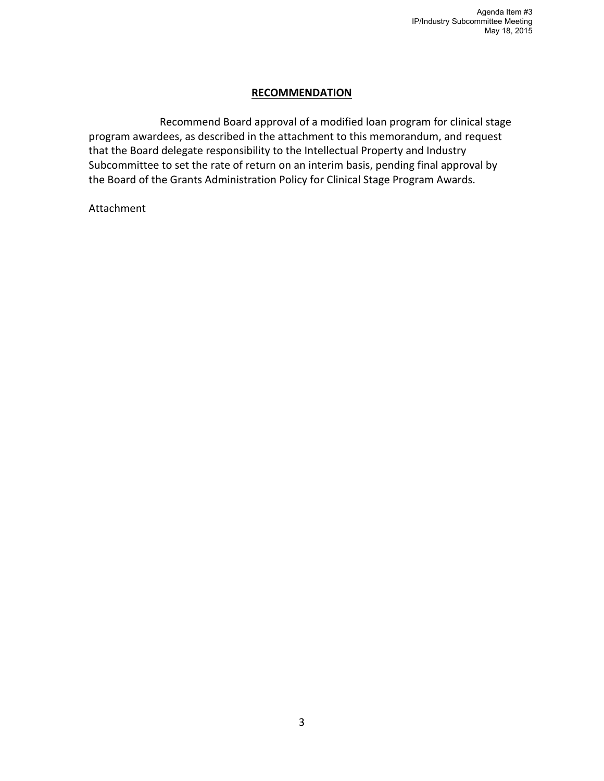## **RECOMMENDATION**

Recommend Board approval of a modified loan program for clinical stage program awardees, as described in the attachment to this memorandum, and request that the Board delegate responsibility to the Intellectual Property and Industry Subcommittee to set the rate of return on an interim basis, pending final approval by the Board of the Grants Administration Policy for Clinical Stage Program Awards.

Attachment